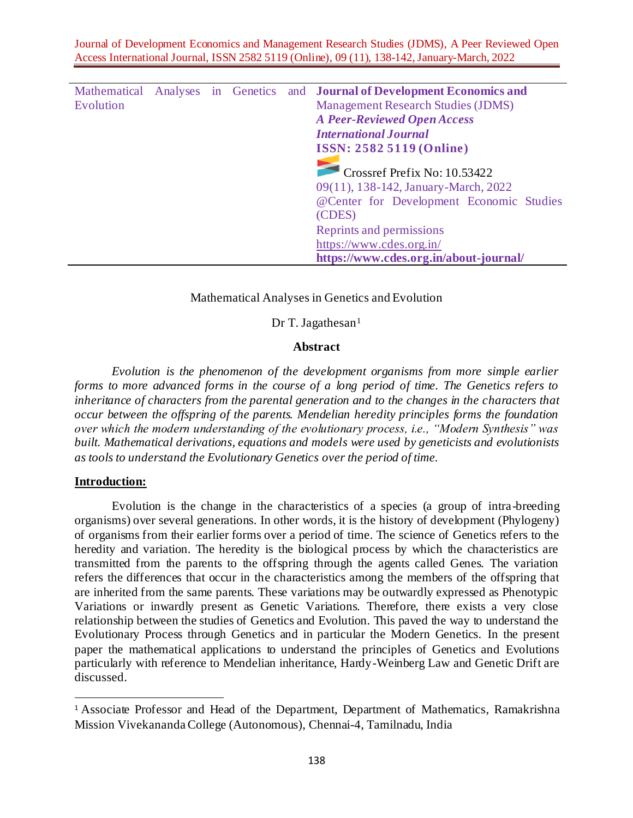Journal of Development Economics and Management Research Studies (JDMS), A Peer Reviewed Open Access International Journal, ISSN 2582 5119 (Online), 09 (11), 138-142, January-March, 2022

|           |  |  | Mathematical Analyses in Genetics and <b>Journal of Development Economics and</b>                                                         |
|-----------|--|--|-------------------------------------------------------------------------------------------------------------------------------------------|
| Evolution |  |  | <b>Management Research Studies (JDMS)</b>                                                                                                 |
|           |  |  | <b>A Peer-Reviewed Open Access</b>                                                                                                        |
|           |  |  | <b>International Journal</b>                                                                                                              |
|           |  |  | <b>ISSN: 2582 5119 (Online)</b>                                                                                                           |
|           |  |  | $\blacksquare$ Crossref Prefix No: 10.53422<br>09(11), 138-142, January-March, 2022<br>@Center for Development Economic Studies<br>(CDES) |
|           |  |  | Reprints and permissions                                                                                                                  |
|           |  |  | https://www.cdes.org.in/                                                                                                                  |
|           |  |  | https://www.cdes.org.in/about-journal/                                                                                                    |

#### Mathematical Analyses in Genetics and Evolution

Dr T. Jagathesan $1$ 

## **Abstract**

*Evolution is the phenomenon of the development organisms from more simple earlier forms to more advanced forms in the course of a long period of time. The Genetics refers to inheritance of characters from the parental generation and to the changes in the characters that occur between the offspring of the parents. Mendelian heredity principles forms the foundation over which the modern understanding of the evolutionary process, i.e., "Modern Synthesis" was built. Mathematical derivations, equations and models were used by geneticists and evolutionists as tools to understand the Evolutionary Genetics over the period of time.*

#### **Introduction:**

Evolution is the change in the characteristics of a species (a group of intra-breeding organisms) over several generations. In other words, it is the history of development (Phylogeny) of organisms from their earlier forms over a period of time. The science of Genetics refers to the heredity and variation. The heredity is the biological process by which the characteristics are transmitted from the parents to the offspring through the agents called Genes. The variation refers the differences that occur in the characteristics among the members of the offspring that are inherited from the same parents. These variations may be outwardly expressed as Phenotypic Variations or inwardly present as Genetic Variations. Therefore, there exists a very close relationship between the studies of Genetics and Evolution. This paved the way to understand the Evolutionary Process through Genetics and in particular the Modern Genetics. In the present paper the mathematical applications to understand the principles of Genetics and Evolutions particularly with reference to Mendelian inheritance, Hardy-Weinberg Law and Genetic Drift are discussed.

<sup>&</sup>lt;sup>1</sup> Associate Professor and Head of the Department, Department of Mathematics, Ramakrishna Mission Vivekananda College (Autonomous), Chennai-4, Tamilnadu, India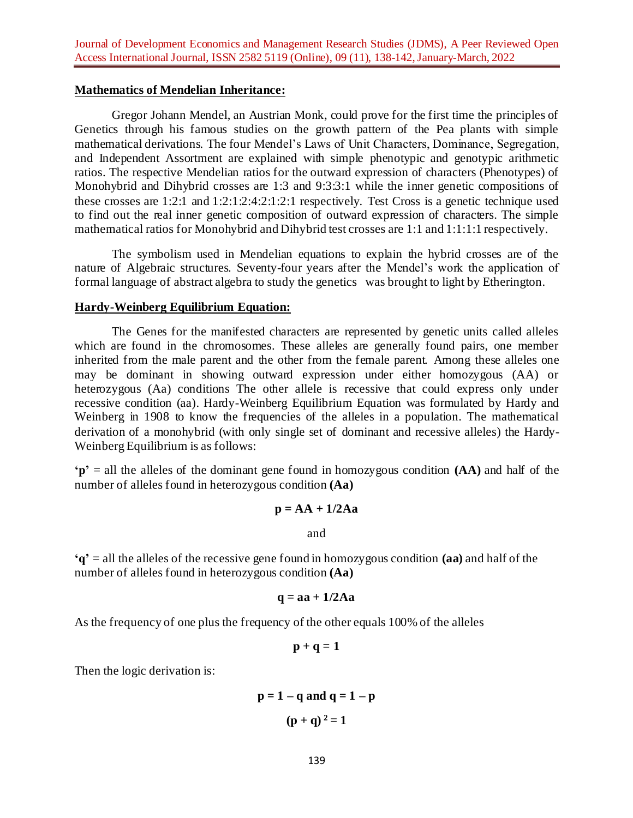### **Mathematics of Mendelian Inheritance:**

Gregor Johann Mendel, an Austrian Monk, could prove for the first time the principles of Genetics through his famous studies on the growth pattern of the Pea plants with simple mathematical derivations. The four Mendel's Laws of Unit Characters, Dominance, Segregation, and Independent Assortment are explained with simple phenotypic and genotypic arithmetic ratios. The respective Mendelian ratios for the outward expression of characters (Phenotypes) of Monohybrid and Dihybrid crosses are 1:3 and 9:3:3:1 while the inner genetic compositions of these crosses are  $1:2:1$  and  $1:2:1:2:4:2:1:2:1$  respectively. Test Cross is a genetic technique used to find out the real inner genetic composition of outward expression of characters. The simple mathematical ratios for Monohybrid and Dihybrid test crosses are 1:1 and 1:1:1:1 respectively.

The symbolism used in Mendelian equations to explain the hybrid crosses are of the nature of Algebraic structures. Seventy-four years after the Mendel's work the application of formal language of abstract algebra to study the genetics was brought to light by Etherington.

## **Hardy-Weinberg Equilibrium Equation:**

The Genes for the manifested characters are represented by genetic units called alleles which are found in the chromosomes. These alleles are generally found pairs, one member inherited from the male parent and the other from the female parent. Among these alleles one may be dominant in showing outward expression under either homozygous (AA) or heterozygous (Aa) conditions The other allele is recessive that could express only under recessive condition (aa). Hardy-Weinberg Equilibrium Equation was formulated by Hardy and Weinberg in 1908 to know the frequencies of the alleles in a population. The mathematical derivation of a monohybrid (with only single set of dominant and recessive alleles) the Hardy-Weinberg Equilibrium is as follows:

**'p'** = all the alleles of the dominant gene found in homozygous condition **(AA)** and half of the number of alleles found in heterozygous condition **(Aa)**

$$
p = AA + 1/2Aa
$$

and

**'q'** = all the alleles of the recessive gene found in homozygous condition **(aa)** and half of the number of alleles found in heterozygous condition **(Aa)**

$$
q = aa + 1/2Aa
$$

As the frequency of one plus the frequency of the other equals 100% of the alleles

$$
p+q=1
$$

Then the logic derivation is:

$$
p = 1 - q
$$
 and 
$$
q = 1 - p
$$

$$
(p + q)2 = 1
$$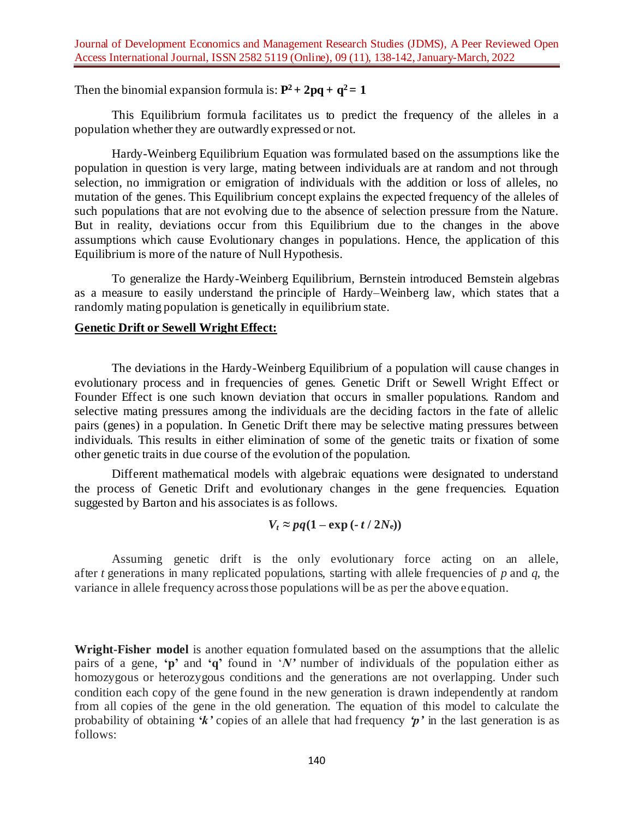Then the binomial expansion formula is:  $P^2 + 2pq + q^2 = 1$ 

This Equilibrium formula facilitates us to predict the frequency of the alleles in a population whether they are outwardly expressed or not.

Hardy-Weinberg Equilibrium Equation was formulated based on the assumptions like the population in question is very large, mating between individuals are at random and not through selection, no immigration or emigration of individuals with the addition or loss of alleles, no mutation of the genes. This Equilibrium concept explains the expected frequency of the alleles of such populations that are not evolving due to the absence of selection pressure from the Nature. But in reality, deviations occur from this Equilibrium due to the changes in the above assumptions which cause Evolutionary changes in populations. Hence, the application of this Equilibrium is more of the nature of Null Hypothesis.

To generalize the Hardy-Weinberg Equilibrium, Bernstein introduced Bernstein algebras as a measure to easily understand the principle of [Hardy–Weinberg law,](https://encyclopediaofmath.org/wiki/Hardy%E2%80%93Weinberg_law) which states that a randomly mating population is genetically in equilibrium state.

# **Genetic Drift or Sewell Wright Effect:**

The deviations in the Hardy-Weinberg Equilibrium of a population will cause changes in evolutionary process and in frequencies of genes. Genetic Drift or Sewell Wright Effect or Founder Effect is one such known deviation that occurs in smaller populations. Random and selective mating pressures among the individuals are the deciding factors in the fate of allelic pairs (genes) in a population. In Genetic Drift there may be selective mating pressures between individuals. This results in either elimination of some of the genetic traits or fixation of some other genetic traits in due course of the evolution of the population.

Different mathematical models with algebraic equations were designated to understand the process of Genetic Drift and evolutionary changes in the gene frequencies. Equation suggested by Barton and his associates is as follows.

$$
V_t \approx pq(1-\exp(-t/2N_e))
$$

Assuming genetic drift is the only evolutionary force acting on an allele, after *t* generations in many replicated populations, starting with allele frequencies of *p* and *q*, the variance in allele frequency across those populations will be as per the above equation.

**Wright-Fisher model** is another equation formulated based on the assumptions that the allelic pairs of a gene, **'p'** and **'q'** found in '*N'* number of individuals of the population either as homozygous or heterozygous conditions and the generations are not overlapping. Under such condition each copy of the gene found in the new generation is drawn independently at random from all copies of the gene in the old generation. The equation of this model to calculate the probability of obtaining **'***k'* copies of an allele that had frequency *'p'* in the last generation is as follows: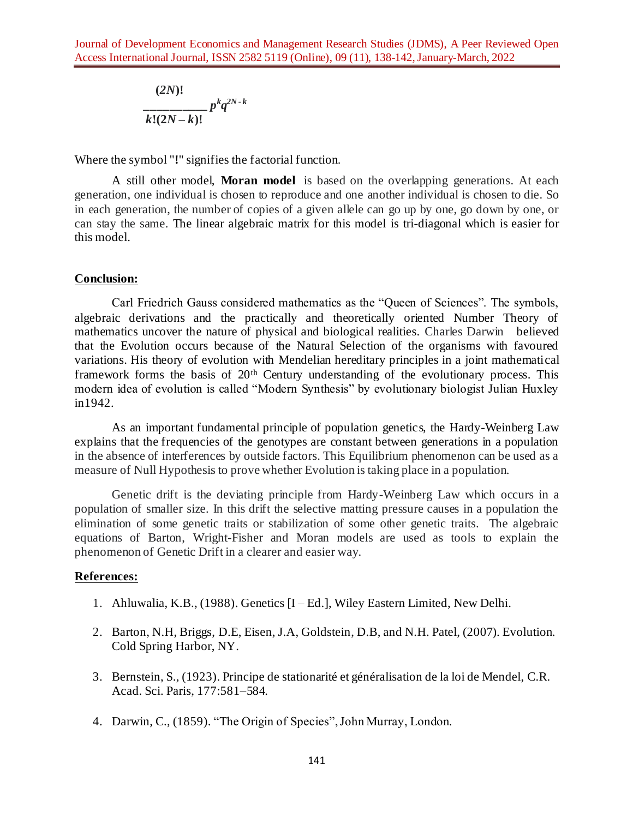$$
\frac{(2N)!}{k!(2N-k)!}p^kq^{2N-k}
$$

Where the symbol "**!**" signifies the [factorial](https://en.wikipedia.org/wiki/Factorial) function.

A still other model, **[Moran model](https://en.wikipedia.org/wiki/Moran_process)** is based on the overlapping generations. At each generation, one individual is chosen to reproduce and one another individual is chosen to die. So in each generation, the number of copies of a given allele can go up by one, go down by one, or can stay the same. The linear algebraic matrix for this model is tri-diagonal which is easier for this model.

### **Conclusion:**

Carl Friedrich Gauss considered mathematics as the "Queen of Sciences". The symbols, algebraic derivations and the practically and theoretically oriented Number Theory of mathematics uncover the nature of physical and biological realities. Charles Darwin believed that the Evolution occurs because of the Natural Selection of the organisms with favoured variations. His theory of evolution with Mendelian hereditary principles in a joint mathematical framework forms the basis of 20th Century understanding of the evolutionary process. This modern idea of evolution is called "Modern Synthesis" by evolutionary biologist Julian Huxley in1942.

As an important fundamental principle of population genetics, the Hardy-Weinberg Law explains that the frequencies of the genotypes are constant between generations in a population in the absence of interferences by outside factors. This Equilibrium phenomenon can be used as a measure of Null Hypothesis to prove whether Evolution is taking place in a population.

Genetic drift is the deviating principle from Hardy-Weinberg Law which occurs in a population of smaller size. In this drift the selective matting pressure causes in a population the elimination of some genetic traits or stabilization of some other genetic traits. The algebraic equations of Barton, Wright-Fisher and Moran models are used as tools to explain the phenomenon of Genetic Drift in a clearer and easier way.

# **References:**

- 1. Ahluwalia, K.B., (1988). Genetics [I Ed.], Wiley Eastern Limited, New Delhi.
- 2. [Barton, N.H,](https://en.wikipedia.org/wiki/Nick_Barton) [Briggs, D.E,](https://en.wikipedia.org/wiki/Derek_Briggs) [Eisen, J.A,](https://en.wikipedia.org/wiki/Jonathan_Eisen) [Goldstein,](https://en.wikipedia.org/wiki/David_B._Goldstein_(geneticist)) D.B, and N.H. Patel, (2007). Evolution. Cold Spring Harbor, NY.
- 3. Bernstein, S., (1923). Principe de stationarité et généralisation de la loi de Mendel, C.R. Acad. Sci. Paris, 177:581–584.
- 4. Darwin, C., (1859). "The Origin of Species", John Murray, London.